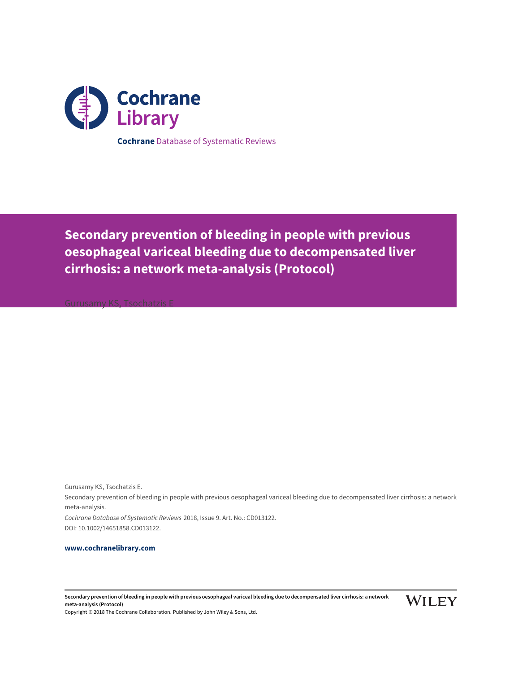

**Secondary prevention of bleeding in people with previous oesophageal variceal bleeding due to decompensated liver cirrhosis: a network meta-analysis (Protocol)**

Gurusamy KS, Tsochatzis E.

Secondary prevention of bleeding in people with previous oesophageal variceal bleeding due to decompensated liver cirrhosis: a network meta-analysis.

Cochrane Database of Systematic Reviews 2018, Issue 9. Art. No.: CD013122. DOI: 10.1002/14651858.CD013122.

# **[www.cochranelibrary.com](http://www.cochranelibrary.com)**

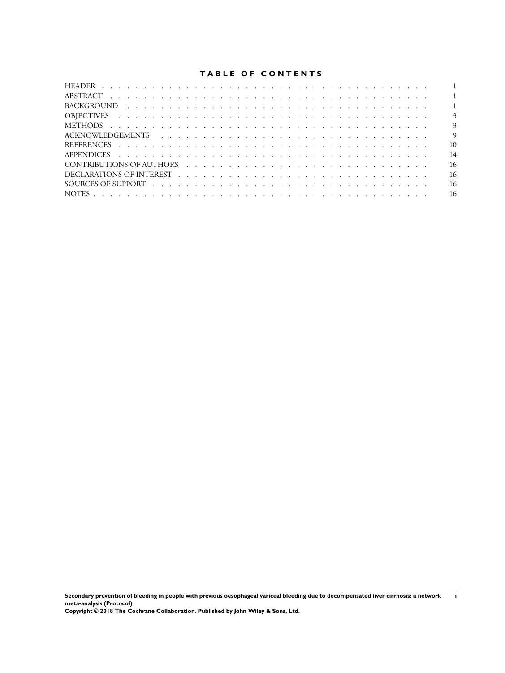# **TABLE OF CONTENTS**

|                                                     | $\overline{1}$          |
|-----------------------------------------------------|-------------------------|
|                                                     | $\overline{3}$          |
|                                                     | $\overline{\mathbf{3}}$ |
|                                                     | $\Omega$                |
|                                                     | 10                      |
|                                                     | 14                      |
| CONTRIBUTIONS OF AUTHORS (CONTRIBUTIONS OF AUTHORS) | 16                      |
|                                                     | 16                      |
|                                                     | 16                      |
|                                                     | 16                      |

**Secondary prevention of bleeding in people with previous oesophageal variceal bleeding due to decompensated liver cirrhosis: a network i meta-analysis (Protocol)**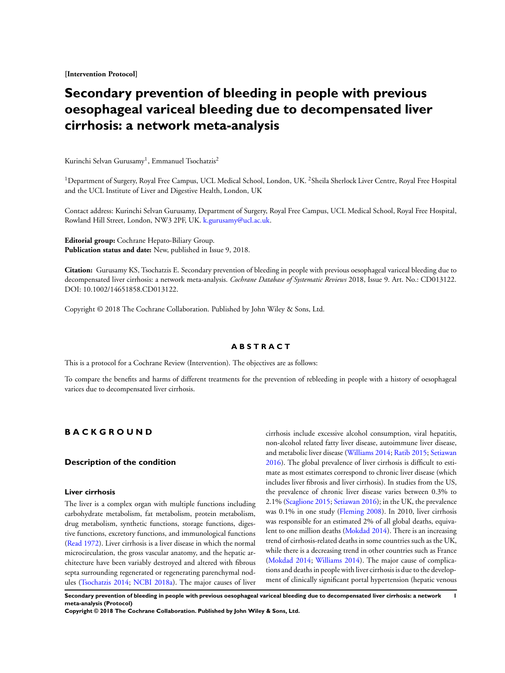<span id="page-2-0"></span>**[Intervention Protocol]**

# **Secondary prevention of bleeding in people with previous oesophageal variceal bleeding due to decompensated liver cirrhosis: a network meta-analysis**

Kurinchi Selvan Gurusamy $^1$ , Emmanuel Tsochatzis $^2$ 

<sup>1</sup>Department of Surgery, Royal Free Campus, UCL Medical School, London, UK. <sup>2</sup>Sheila Sherlock Liver Centre, Royal Free Hospital and the UCL Institute of Liver and Digestive Health, London, UK

Contact address: Kurinchi Selvan Gurusamy, Department of Surgery, Royal Free Campus, UCL Medical School, Royal Free Hospital, Rowland Hill Street, London, NW3 2PF, UK. [k.gurusamy@ucl.ac.uk.](mailto:k.gurusamy@ucl.ac.uk)

**Editorial group:** Cochrane Hepato-Biliary Group. **Publication status and date:** New, published in Issue 9, 2018.

**Citation:** Gurusamy KS, Tsochatzis E. Secondary prevention of bleeding in people with previous oesophageal variceal bleeding due to decompensated liver cirrhosis: a network meta-analysis. *Cochrane Database of Systematic Reviews* 2018, Issue 9. Art. No.: CD013122. DOI: 10.1002/14651858.CD013122.

Copyright © 2018 The Cochrane Collaboration. Published by John Wiley & Sons, Ltd.

# **A B S T R A C T**

This is a protocol for a Cochrane Review (Intervention). The objectives are as follows:

To compare the benefits and harms of different treatments for the prevention of rebleeding in people with a history of oesophageal varices due to decompensated liver cirrhosis.

# **B A C K G R O U N D**

# **Description of the condition**

# **Liver cirrhosis**

The liver is a complex organ with multiple functions including carbohydrate metabolism, fat metabolism, protein metabolism, drug metabolism, synthetic functions, storage functions, digestive functions, excretory functions, and immunological functions [\(Read 1972\)](#page-11-0). Liver cirrhosis is a liver disease in which the normal microcirculation, the gross vascular anatomy, and the hepatic architecture have been variably destroyed and altered with fibrous septa surrounding regenerated or regenerating parenchymal nodules [\(Tsochatzis 2014;](#page-11-0) [NCBI 2018a\)](#page-11-0). The major causes of liver cirrhosis include excessive alcohol consumption, viral hepatitis, non-alcohol related fatty liver disease, autoimmune liver disease, and metabolic liver disease ([Williams 2014](#page-11-0); [Ratib 2015](#page-11-0); [Setiawan](#page-11-0) [2016](#page-11-0)). The global prevalence of liver cirrhosis is difficult to estimate as most estimates correspond to chronic liver disease (which includes liver fibrosis and liver cirrhosis). In studies from the US, the prevalence of chronic liver disease varies between 0.3% to 2.1% ([Scaglione 2015](#page-11-0); [Setiawan 2016](#page-11-0)); in the UK, the prevalence was 0.1% in one study [\(Fleming 2008\)](#page-11-0). In 2010, liver cirrhosis was responsible for an estimated 2% of all global deaths, equivalent to one million deaths ([Mokdad 2014](#page-11-0)). There is an increasing trend of cirrhosis-related deaths in some countries such as the UK, while there is a decreasing trend in other countries such as France [\(Mokdad 2014;](#page-11-0) [Williams 2014](#page-11-0)). The major cause of complications and deaths in people with liver cirrhosis is due to the development of clinically significant portal hypertension (hepatic venous

**Secondary prevention of bleeding in people with previous oesophageal variceal bleeding due to decompensated liver cirrhosis: a network 1 meta-analysis (Protocol)**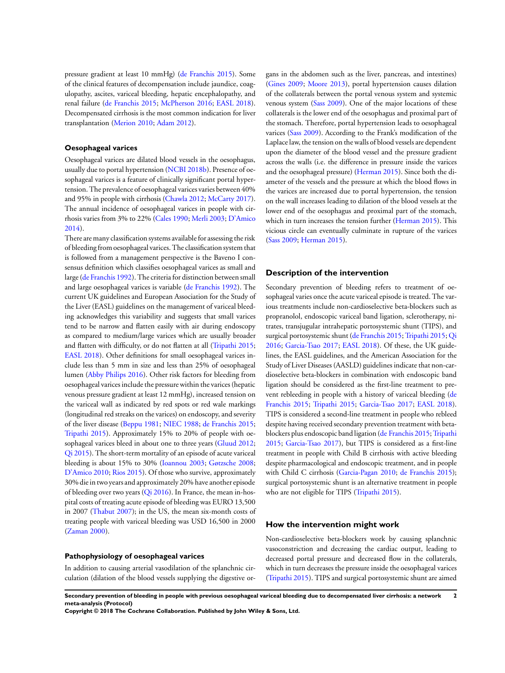pressure gradient at least 10 mmHg) [\(de Franchis 2015\)](#page-11-0). Some of the clinical features of decompensation include jaundice, coagulopathy, ascites, variceal bleeding, hepatic encephalopathy, and renal failure [\(de Franchis 2015;](#page-11-0) [McPherson 2016](#page-11-0); [EASL 2018](#page-11-0)). Decompensated cirrhosis is the most common indication for liver transplantation [\(Merion 2010](#page-11-0); [Adam 2012\)](#page-11-0).

#### **Oesophageal varices**

Oesophageal varices are dilated blood vessels in the oesophagus, usually due to portal hypertension ([NCBI 2018b\)](#page-11-0). Presence of oesophageal varices is a feature of clinically significant portal hypertension. The prevalence of oesophageal varices varies between 40% and 95% in people with cirrhosis ([Chawla 2012;](#page-11-0) [McCarty 2017](#page-11-0)). The annual incidence of oesophageal varices in people with cirrhosis varies from 3% to 22% ([Cales 1990;](#page-11-0) [Merli 2003;](#page-11-0) [D'Amico](#page-11-0) [2014](#page-11-0)).

There are many classification systems available for assessing the risk of bleeding from oesophageal varices. The classification system that is followed from a management perspective is the Baveno I consensus definition which classifies oesophageal varices as small and large ([de Franchis 1992](#page-11-0)). The criteria for distinction between small and large oesophageal varices is variable [\(de Franchis 1992](#page-11-0)). The current UK guidelines and European Association for the Study of the Liver (EASL) guidelines on the management of variceal bleeding acknowledges this variability and suggests that small varices tend to be narrow and flatten easily with air during endoscopy as compared to medium/large varices which are usually broader and flatten with difficulty, or do not flatten at all ([Tripathi 2015;](#page-11-0) [EASL 2018](#page-11-0)). Other definitions for small oesophageal varices include less than 5 mm in size and less than 25% of oesophageal lumen ([Abby Philips 2016\)](#page-11-0). Other risk factors for bleeding from oesophageal varices include the pressure within the varices (hepatic venous pressure gradient at least 12 mmHg), increased tension on the variceal wall as indicated by red spots or red wale markings (longitudinal red streaks on the varices) on endoscopy, and severity of the liver disease ([Beppu 1981;](#page-11-0) [NIEC 1988](#page-11-0); [de Franchis 2015;](#page-11-0) [Tripathi 2015](#page-11-0)). Approximately 15% to 20% of people with oesophageal varices bleed in about one to three years ([Gluud 2012;](#page-11-0) [Qi 2015](#page-11-0)). The short-term mortality of an episode of acute variceal bleeding is about 15% to 30% ([Ioannou 2003](#page-11-0); [Gøtzsche 2008;](#page-11-0) [D'Amico 2010](#page-11-0); [Rios 2015\)](#page-11-0). Of those who survive, approximately 30% die in two years and approximately 20% have another episode of bleeding over two years ([Qi 2016\)](#page-11-0). In France, the mean in-hospital costs of treating acute episode of bleeding was EURO 13,500 in 2007 [\(Thabut 2007\)](#page-11-0); in the US, the mean six-month costs of treating people with variceal bleeding was USD 16,500 in 2000 [\(Zaman 2000](#page-11-0)).

# **Pathophysiology of oesophageal varices**

In addition to causing arterial vasodilation of the splanchnic circulation (dilation of the blood vessels supplying the digestive organs in the abdomen such as the liver, pancreas, and intestines) [\(Gines 2009](#page-11-0); [Moore 2013\)](#page-11-0), portal hypertension causes dilation of the collaterals between the portal venous system and systemic venous system [\(Sass 2009\)](#page-11-0). One of the major locations of these collaterals is the lower end of the oesophagus and proximal part of the stomach. Therefore, portal hypertension leads to oesophageal varices [\(Sass 2009\)](#page-11-0). According to the Frank's modification of the Laplace law, the tension on the walls of blood vessels are dependent upon the diameter of the blood vessel and the pressure gradient across the walls (i.e. the difference in pressure inside the varices and the oesophageal pressure) [\(Herman 2015](#page-11-0)). Since both the diameter of the vessels and the pressure at which the blood flows in the varices are increased due to portal hypertension, the tension on the wall increases leading to dilation of the blood vessels at the lower end of the oesophagus and proximal part of the stomach, which in turn increases the tension further ([Herman 2015](#page-11-0)). This vicious circle can eventually culminate in rupture of the varices [\(Sass 2009](#page-11-0); [Herman 2015\)](#page-11-0).

#### **Description of the intervention**

Secondary prevention of bleeding refers to treatment of oesophageal varies once the acute variceal episode is treated. The various treatments include non-cardioselective beta-blockers such as propranolol, endoscopic variceal band ligation, sclerotherapy, nitrates, transjugular intrahepatic portosystemic shunt (TIPS), and surgical portosystemic shunt ([de Franchis 2015;](#page-11-0) [Tripathi 2015;](#page-11-0) [Qi](#page-11-0) [2016](#page-11-0); [Garcia-Tsao 2017;](#page-11-0) [EASL 2018](#page-11-0)). Of these, the UK guidelines, the EASL guidelines, and the American Association for the Study of Liver Diseases (AASLD) guidelines indicate that non-cardioselective beta-blockers in combination with endoscopic band ligation should be considered as the first-line treatment to prevent rebleeding in people with a history of variceal bleeding [\(de](#page-11-0) [Franchis 2015;](#page-11-0) [Tripathi 2015](#page-11-0); [Garcia-Tsao 2017](#page-11-0); [EASL 2018](#page-11-0)). TIPS is considered a second-line treatment in people who rebleed despite having received secondary prevention treatment with betablockers plus endoscopic band ligation (de Franchis 2015; Tripathi [2015](#page-11-0); [Garcia-Tsao 2017](#page-11-0)), but TIPS is considered as a first-line treatment in people with Child B cirrhosis with active bleeding despite pharmacological and endoscopic treatment, and in people with Child C cirrhosis [\(Garcia-Pagan 2010](#page-11-0); [de Franchis 2015](#page-11-0)); surgical portosystemic shunt is an alternative treatment in people who are not eligible for TIPS ([Tripathi 2015\)](#page-11-0).

# **How the intervention might work**

Non-cardioselective beta-blockers work by causing splanchnic vasoconstriction and decreasing the cardiac output, leading to decreased portal pressure and decreased flow in the collaterals, which in turn decreases the pressure inside the oesophageal varices [\(Tripathi 2015\)](#page-11-0). TIPS and surgical portosystemic shunt are aimed

**Secondary prevention of bleeding in people with previous oesophageal variceal bleeding due to decompensated liver cirrhosis: a network 2 meta-analysis (Protocol)**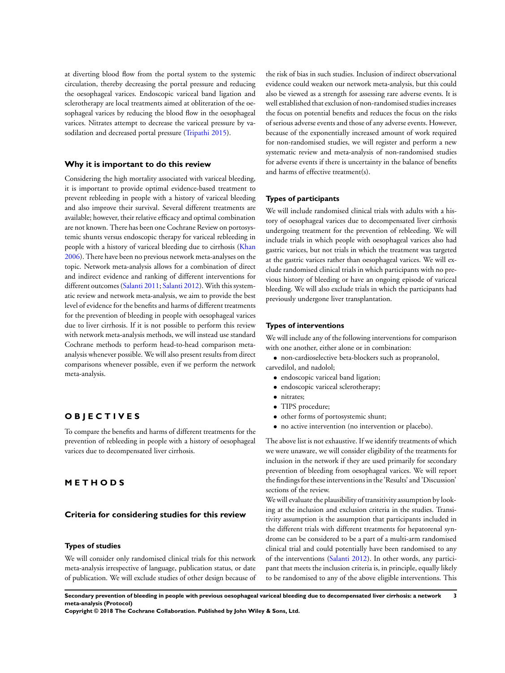at diverting blood flow from the portal system to the systemic circulation, thereby decreasing the portal pressure and reducing the oesophageal varices. Endoscopic variceal band ligation and sclerotherapy are local treatments aimed at obliteration of the oesophageal varices by reducing the blood flow in the oesophageal varices. Nitrates attempt to decrease the variceal pressure by vasodilation and decreased portal pressure ([Tripathi 2015](#page-11-0)).

### **Why it is important to do this review**

Considering the high mortality associated with variceal bleeding, it is important to provide optimal evidence-based treatment to prevent rebleeding in people with a history of variceal bleeding and also improve their survival. Several different treatments are available; however, their relative efficacy and optimal combination are not known. There has been one Cochrane Review on portosystemic shunts versus endoscopic therapy for variceal rebleeding in people with a history of variceal bleeding due to cirrhosis [\(Khan](#page-11-0) [2006](#page-11-0)). There have been no previous network meta-analyses on the topic. Network meta-analysis allows for a combination of direct and indirect evidence and ranking of different interventions for different outcomes ([Salanti 2011;](#page-11-0) [Salanti 2012\)](#page-11-0). With this systematic review and network meta-analysis, we aim to provide the best level of evidence for the benefits and harms of different treatments for the prevention of bleeding in people with oesophageal varices due to liver cirrhosis. If it is not possible to perform this review with network meta-analysis methods, we will instead use standard Cochrane methods to perform head-to-head comparison metaanalysis whenever possible. We will also present results from direct comparisons whenever possible, even if we perform the network meta-analysis.

# **O B J E C T I V E S**

To compare the benefits and harms of different treatments for the prevention of rebleeding in people with a history of oesophageal varices due to decompensated liver cirrhosis.

# **M E T H O D S**

# **Criteria for considering studies for this review**

# **Types of studies**

We will consider only randomised clinical trials for this network meta-analysis irrespective of language, publication status, or date of publication. We will exclude studies of other design because of the risk of bias in such studies. Inclusion of indirect observational evidence could weaken our network meta-analysis, but this could also be viewed as a strength for assessing rare adverse events. It is well established that exclusion of non-randomised studies increases the focus on potential benefits and reduces the focus on the risks of serious adverse events and those of any adverse events. However, because of the exponentially increased amount of work required for non-randomised studies, we will register and perform a new systematic review and meta-analysis of non-randomised studies for adverse events if there is uncertainty in the balance of benefits and harms of effective treatment(s).

# **Types of participants**

We will include randomised clinical trials with adults with a history of oesophageal varices due to decompensated liver cirrhosis undergoing treatment for the prevention of rebleeding. We will include trials in which people with oesophageal varices also had gastric varices, but not trials in which the treatment was targeted at the gastric varices rather than oesophageal varices. We will exclude randomised clinical trials in which participants with no previous history of bleeding or have an ongoing episode of variceal bleeding. We will also exclude trials in which the participants had previously undergone liver transplantation.

#### **Types of interventions**

We will include any of the following interventions for comparison with one another, either alone or in combination:

• non-cardioselective beta-blockers such as propranolol, carvedilol, and nadolol;

- endoscopic variceal band ligation;
- endoscopic variceal sclerotherapy;
- nitrates;
- TIPS procedure;
- other forms of portosystemic shunt;
- no active intervention (no intervention or placebo).

The above list is not exhaustive. If we identify treatments of which we were unaware, we will consider eligibility of the treatments for inclusion in the network if they are used primarily for secondary prevention of bleeding from oesophageal varices. We will report the findings for these interventions in the 'Results' and 'Discussion' sections of the review.

We will evaluate the plausibility of transitivity assumption by looking at the inclusion and exclusion criteria in the studies. Transitivity assumption is the assumption that participants included in the different trials with different treatments for hepatorenal syndrome can be considered to be a part of a multi-arm randomised clinical trial and could potentially have been randomised to any of the interventions [\(Salanti 2012\)](#page-11-0). In other words, any participant that meets the inclusion criteria is, in principle, equally likely to be randomised to any of the above eligible interventions. This

**Secondary prevention of bleeding in people with previous oesophageal variceal bleeding due to decompensated liver cirrhosis: a network 3 meta-analysis (Protocol)**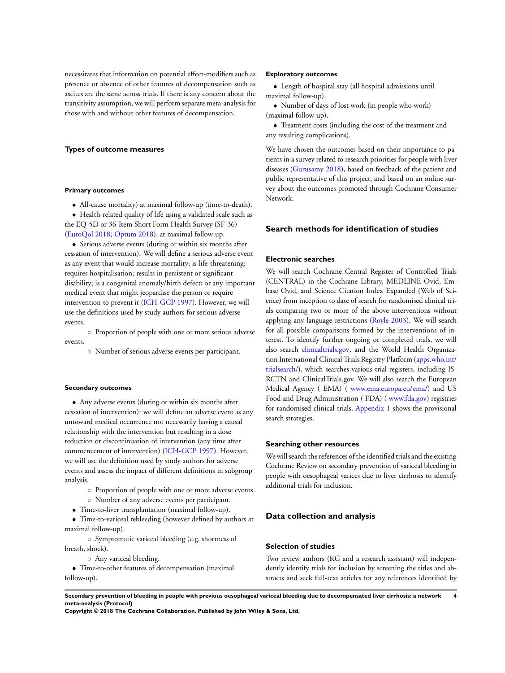necessitates that information on potential effect-modifiers such as presence or absence of other features of decompensation such as ascites are the same across trials. If there is any concern about the transitivity assumption, we will perform separate meta-analysis for those with and without other features of decompensation.

#### **Types of outcome measures**

#### **Primary outcomes**

• All-cause mortality) at maximal follow-up (time-to-death).

• Health-related quality of life using a validated scale such as the EQ-5D or 36-Item Short Form Health Survey (SF-36) [\(EuroQol 2018](#page-11-0); [Optum 2018\)](#page-11-0), at maximal follow-up.

• Serious adverse events (during or within six months after cessation of intervention). We will define a serious adverse event as any event that would increase mortality; is life-threatening; requires hospitalisation; results in persistent or significant disability; is a congenital anomaly/birth defect; or any important medical event that might jeopardise the person or require intervention to prevent it ([ICH-GCP 1997\)](#page-11-0). However, we will use the definitions used by study authors for serious adverse events.

◦ Proportion of people with one or more serious adverse events.

◦ Number of serious adverse events per participant.

#### **Secondary outcomes**

• Any adverse events (during or within six months after cessation of intervention): we will define an adverse event as any untoward medical occurrence not necessarily having a causal relationship with the intervention but resulting in a dose reduction or discontinuation of intervention (any time after commencement of intervention) [\(ICH-GCP 1997\)](#page-11-0). However, we will use the definition used by study authors for adverse events and assess the impact of different definitions in subgroup analysis.

- Proportion of people with one or more adverse events.
- Number of any adverse events per participant.
- Time-to-liver transplantation (maximal follow-up).

• Time-to-variceal rebleeding (however defined by authors at maximal follow-up).

◦ Symptomatic variceal bleeding (e.g. shortness of breath, shock).

◦ Any variceal bleeding.

• Time-to-other features of decompensation (maximal follow-up).

#### **Exploratory outcomes**

• Length of hospital stay (all hospital admissions until maximal follow-up).

• Number of days of lost work (in people who work) (maximal follow-up).

• Treatment costs (including the cost of the treatment and any resulting complications).

We have chosen the outcomes based on their importance to patients in a survey related to research priorities for people with liver diseases ([Gurusamy 2018\)](#page-11-0), based on feedback of the patient and public representative of this project, and based on an online survey about the outcomes promoted through Cochrane Consumer Network.

# **Search methods for identification of studies**

#### **Electronic searches**

We will search Cochrane Central Register of Controlled Trials (CENTRAL) in the Cochrane Library, MEDLINE Ovid, Embase Ovid, and Science Citation Index Expanded (Web of Science) from inception to date of search for randomised clinical trials comparing two or more of the above interventions without applying any language restrictions [\(Royle 2003\)](#page-11-0). We will search for all possible comparisons formed by the interventions of interest. To identify further ongoing or completed trials, we will also search [clinicaltrials.gov,](https://clinicaltrials.gov/) and the World Health Organization International Clinical Trials Registry Platform ([apps.who.int/](http://apps.who.int/trialsearch/) [trialsearch/](http://apps.who.int/trialsearch/)), which searches various trial registers, including IS-RCTN and ClinicalTrials.gov. We will also search the European Medical Agency ( EMA) ( [www.ema.europa.eu/ema/\)](http://www.ema.europa.eu/ema/) and US Food and Drug Administration ( FDA) ( [www.fda.gov\)](http://www.fda.gov) registries for randomised clinical trials. [Appendix 1](#page-15-0) shows the provisional search strategies.

#### **Searching other resources**

We will search the references of the identified trials and the existing Cochrane Review on secondary prevention of variceal bleeding in people with oesophageal varices due to liver cirrhosis to identify additional trials for inclusion.

# **Data collection and analysis**

# **Selection of studies**

Two review authors (KG and a research assistant) will independently identify trials for inclusion by screening the titles and abstracts and seek full-text articles for any references identified by

**Secondary prevention of bleeding in people with previous oesophageal variceal bleeding due to decompensated liver cirrhosis: a network 4 meta-analysis (Protocol)**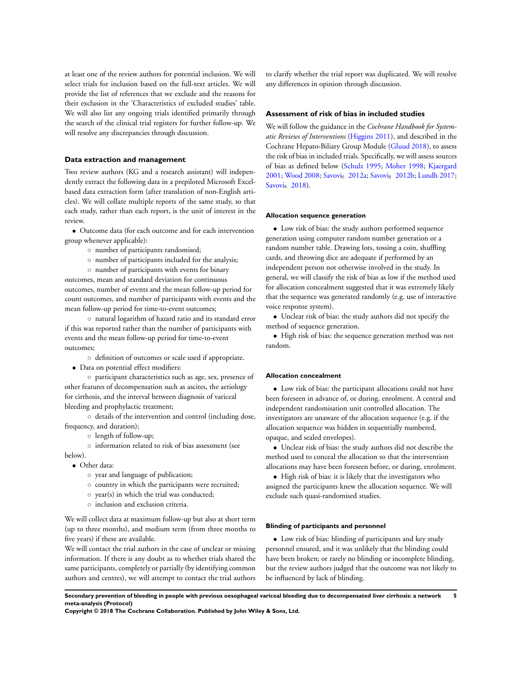at least one of the review authors for potential inclusion. We will select trials for inclusion based on the full-text articles. We will provide the list of references that we exclude and the reasons for their exclusion in the 'Characteristics of excluded studies' table. We will also list any ongoing trials identified primarily through the search of the clinical trial registers for further follow-up. We will resolve any discrepancies through discussion.

# **Data extraction and management**

Two review authors (KG and a research assistant) will independently extract the following data in a prepiloted Microsoft Excelbased data extraction form (after translation of non-English articles). We will collate multiple reports of the same study, so that each study, rather than each report, is the unit of interest in the review.

• Outcome data (for each outcome and for each intervention group whenever applicable):

- number of participants randomised;
- number of participants included for the analysis;

◦ number of participants with events for binary outcomes, mean and standard deviation for continuous outcomes, number of events and the mean follow-up period for count outcomes, and number of participants with events and the mean follow-up period for time-to-event outcomes;

◦ natural logarithm of hazard ratio and its standard error if this was reported rather than the number of participants with events and the mean follow-up period for time-to-event outcomes;

- definition of outcomes or scale used if appropriate.
- Data on potential effect modifiers:

◦ participant characteristics such as age, sex, presence of other features of decompensation such as ascites, the aetiology for cirrhosis, and the interval between diagnosis of variceal bleeding and prophylactic treatment;

◦ details of the intervention and control (including dose, frequency, and duration);

◦ length of follow-up;

◦ information related to risk of bias assessment (see below).

- Other data:
	- year and language of publication;
	- country in which the participants were recruited;
	- year(s) in which the trial was conducted;
	- inclusion and exclusion criteria.

We will collect data at maximum follow-up but also at short term (up to three months), and medium term (from three months to five years) if these are available.

We will contact the trial authors in the case of unclear or missing information. If there is any doubt as to whether trials shared the same participants, completely or partially (by identifying common authors and centres), we will attempt to contact the trial authors to clarify whether the trial report was duplicated. We will resolve any differences in opinion through discussion.

### **Assessment of risk of bias in included studies**

We will follow the guidance in the *Cochrane Handbook for Systematic Reviews of Interventions* ([Higgins 2011](#page-11-0)), and described in the Cochrane Hepato-Biliary Group Module [\(Gluud 2018\)](#page-11-0), to assess the risk of bias in included trials. Specifically, we will assess sources of bias as defined below ([Schulz 1995](#page-11-0); [Moher 1998](#page-11-0); [Kjaergard](#page-11-0) [2001](#page-11-0); [Wood 2008;](#page-11-0) [Savovi](#page-11-0): [2012a](#page-11-0); Savovi: [2012b](#page-11-0); [Lundh 2017;](#page-11-0) [Savovi](#page-11-0): [2018\)](#page-11-0).

#### **Allocation sequence generation**

• Low risk of bias: the study authors performed sequence generation using computer random number generation or a random number table. Drawing lots, tossing a coin, shuffling cards, and throwing dice are adequate if performed by an independent person not otherwise involved in the study. In general, we will classify the risk of bias as low if the method used for allocation concealment suggested that it was extremely likely that the sequence was generated randomly (e.g. use of interactive voice response system).

• Unclear risk of bias: the study authors did not specify the method of sequence generation.

• High risk of bias: the sequence generation method was not random.

# **Allocation concealment**

• Low risk of bias: the participant allocations could not have been foreseen in advance of, or during, enrolment. A central and independent randomisation unit controlled allocation. The investigators are unaware of the allocation sequence (e.g. if the allocation sequence was hidden in sequentially numbered, opaque, and sealed envelopes).

• Unclear risk of bias: the study authors did not describe the method used to conceal the allocation so that the intervention allocations may have been foreseen before, or during, enrolment.

• High risk of bias: it is likely that the investigators who assigned the participants knew the allocation sequence. We will exclude such quasi-randomised studies.

#### **Blinding of participants and personnel**

• Low risk of bias: blinding of participants and key study personnel ensured, and it was unlikely that the blinding could have been broken; or rarely no blinding or incomplete blinding, but the review authors judged that the outcome was not likely to be influenced by lack of blinding.

**Secondary prevention of bleeding in people with previous oesophageal variceal bleeding due to decompensated liver cirrhosis: a network 5 meta-analysis (Protocol)**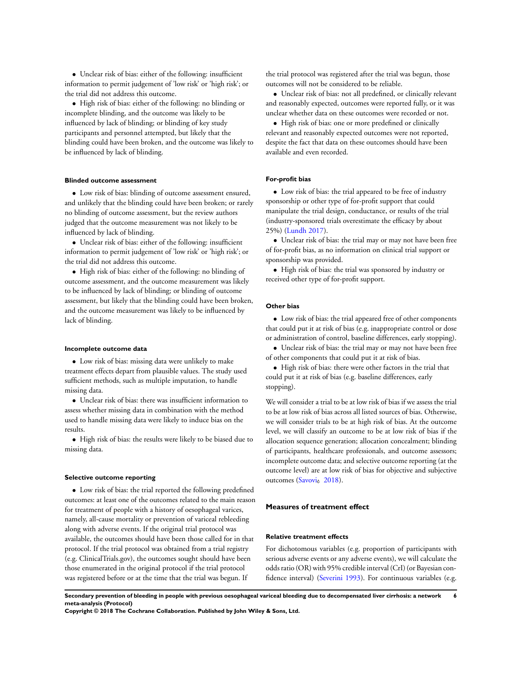• Unclear risk of bias: either of the following: insufficient information to permit judgement of 'low risk' or 'high risk'; or the trial did not address this outcome.

• High risk of bias: either of the following: no blinding or incomplete blinding, and the outcome was likely to be influenced by lack of blinding; or blinding of key study participants and personnel attempted, but likely that the blinding could have been broken, and the outcome was likely to be influenced by lack of blinding.

### **Blinded outcome assessment**

• Low risk of bias: blinding of outcome assessment ensured, and unlikely that the blinding could have been broken; or rarely no blinding of outcome assessment, but the review authors judged that the outcome measurement was not likely to be influenced by lack of blinding.

• Unclear risk of bias: either of the following: insufficient information to permit judgement of 'low risk' or 'high risk'; or the trial did not address this outcome.

• High risk of bias: either of the following: no blinding of outcome assessment, and the outcome measurement was likely to be influenced by lack of blinding; or blinding of outcome assessment, but likely that the blinding could have been broken, and the outcome measurement was likely to be influenced by lack of blinding.

#### **Incomplete outcome data**

• Low risk of bias: missing data were unlikely to make treatment effects depart from plausible values. The study used sufficient methods, such as multiple imputation, to handle missing data.

• Unclear risk of bias: there was insufficient information to assess whether missing data in combination with the method used to handle missing data were likely to induce bias on the results.

• High risk of bias: the results were likely to be biased due to missing data.

### **Selective outcome reporting**

• Low risk of bias: the trial reported the following predefined outcomes: at least one of the outcomes related to the main reason for treatment of people with a history of oesophageal varices, namely, all-cause mortality or prevention of variceal rebleeding along with adverse events. If the original trial protocol was available, the outcomes should have been those called for in that protocol. If the trial protocol was obtained from a trial registry (e.g. ClinicalTrials.gov), the outcomes sought should have been those enumerated in the original protocol if the trial protocol was registered before or at the time that the trial was begun. If

the trial protocol was registered after the trial was begun, those outcomes will not be considered to be reliable.

• Unclear risk of bias: not all predefined, or clinically relevant and reasonably expected, outcomes were reported fully, or it was unclear whether data on these outcomes were recorded or not.

• High risk of bias: one or more predefined or clinically relevant and reasonably expected outcomes were not reported, despite the fact that data on these outcomes should have been available and even recorded.

# **For-profit bias**

• Low risk of bias: the trial appeared to be free of industry sponsorship or other type of for-profit support that could manipulate the trial design, conductance, or results of the trial (industry-sponsored trials overestimate the efficacy by about 25%) ([Lundh 2017](#page-11-0)).

• Unclear risk of bias: the trial may or may not have been free of for-profit bias, as no information on clinical trial support or sponsorship was provided.

• High risk of bias: the trial was sponsored by industry or received other type of for-profit support.

#### **Other bias**

• Low risk of bias: the trial appeared free of other components that could put it at risk of bias (e.g. inappropriate control or dose or administration of control, baseline differences, early stopping).

• Unclear risk of bias: the trial may or may not have been free of other components that could put it at risk of bias.

• High risk of bias: there were other factors in the trial that could put it at risk of bias (e.g. baseline differences, early stopping).

We will consider a trial to be at low risk of bias if we assess the trial to be at low risk of bias across all listed sources of bias. Otherwise, we will consider trials to be at high risk of bias. At the outcome level, we will classify an outcome to be at low risk of bias if the allocation sequence generation; allocation concealment; blinding of participants, healthcare professionals, and outcome assessors; incomplete outcome data; and selective outcome reporting (at the outcome level) are at low risk of bias for objective and subjective outcomes ([Savovi](#page-11-0)c [2018](#page-11-0)).

# **Measures of treatment effect**

# **Relative treatment effects**

For dichotomous variables (e.g. proportion of participants with serious adverse events or any adverse events), we will calculate the odds ratio (OR) with 95% credible interval (CrI) (or Bayesian confidence interval) [\(Severini 1993\)](#page-11-0). For continuous variables (e.g.

**Secondary prevention of bleeding in people with previous oesophageal variceal bleeding due to decompensated liver cirrhosis: a network 6 meta-analysis (Protocol)**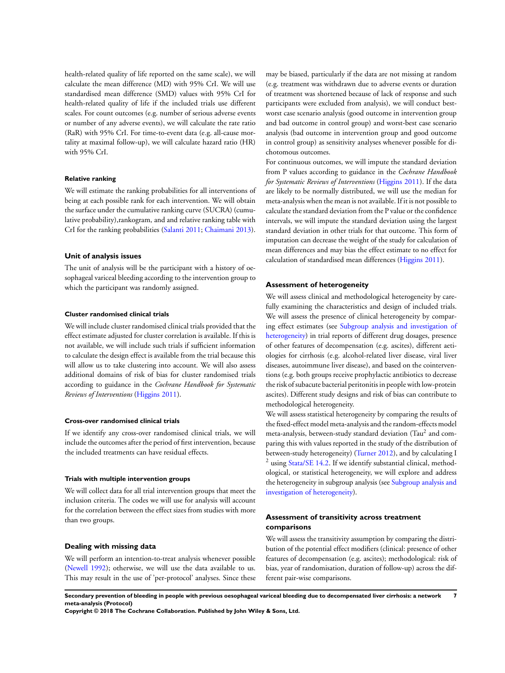health-related quality of life reported on the same scale), we will calculate the mean difference (MD) with 95% CrI. We will use standardised mean difference (SMD) values with 95% CrI for health-related quality of life if the included trials use different scales. For count outcomes (e.g. number of serious adverse events or number of any adverse events), we will calculate the rate ratio (RaR) with 95% CrI. For time-to-event data (e.g. all-cause mortality at maximal follow-up), we will calculate hazard ratio (HR) with 95% CrI.

#### **Relative ranking**

We will estimate the ranking probabilities for all interventions of being at each possible rank for each intervention. We will obtain the surface under the cumulative ranking curve (SUCRA) (cumulative probability),rankogram, and and relative ranking table with CrI for the ranking probabilities ([Salanti 2011;](#page-11-0) [Chaimani 2013](#page-11-0)).

# **Unit of analysis issues**

The unit of analysis will be the participant with a history of oesophageal variceal bleeding according to the intervention group to which the participant was randomly assigned.

# **Cluster randomised clinical trials**

We will include cluster randomised clinical trials provided that the effect estimate adjusted for cluster correlation is available. If this is not available, we will include such trials if sufficient information to calculate the design effect is available from the trial because this will allow us to take clustering into account. We will also assess additional domains of risk of bias for cluster randomised trials according to guidance in the *Cochrane Handbook for Systematic Reviews of Interventions* ([Higgins 2011\)](#page-11-0).

# **Cross-over randomised clinical trials**

If we identify any cross-over randomised clinical trials, we will include the outcomes after the period of first intervention, because the included treatments can have residual effects.

#### **Trials with multiple intervention groups**

We will collect data for all trial intervention groups that meet the inclusion criteria. The codes we will use for analysis will account for the correlation between the effect sizes from studies with more than two groups.

#### **Dealing with missing data**

We will perform an intention-to-treat analysis whenever possible [\(Newell 1992\)](#page-11-0); otherwise, we will use the data available to us. This may result in the use of 'per-protocol' analyses. Since these may be biased, particularly if the data are not missing at random (e.g. treatment was withdrawn due to adverse events or duration of treatment was shortened because of lack of response and such participants were excluded from analysis), we will conduct bestworst case scenario analysis (good outcome in intervention group and bad outcome in control group) and worst-best case scenario analysis (bad outcome in intervention group and good outcome in control group) as sensitivity analyses whenever possible for dichotomous outcomes.

For continuous outcomes, we will impute the standard deviation from P values according to guidance in the *Cochrane Handbook for Systematic Reviews of Interventions* ([Higgins 2011\)](#page-11-0). If the data are likely to be normally distributed, we will use the median for meta-analysis when the mean is not available. If it is not possible to calculate the standard deviation from the P value or the confidence intervals, we will impute the standard deviation using the largest standard deviation in other trials for that outcome. This form of imputation can decrease the weight of the study for calculation of mean differences and may bias the effect estimate to no effect for calculation of standardised mean differences [\(Higgins 2011\)](#page-11-0).

# **Assessment of heterogeneity**

We will assess clinical and methodological heterogeneity by carefully examining the characteristics and design of included trials. We will assess the presence of clinical heterogeneity by comparing effect estimates (see [Subgroup analysis and investigation of](#page-2-0) [heterogeneity\)](#page-2-0) in trial reports of different drug dosages, presence of other features of decompensation (e.g. ascites), different aetiologies for cirrhosis (e.g. alcohol-related liver disease, viral liver diseases, autoimmune liver disease), and based on the cointerventions (e.g. both groups receive prophylactic antibiotics to decrease the risk of subacute bacterial peritonitis in people with low-protein ascites). Different study designs and risk of bias can contribute to methodological heterogeneity.

We will assess statistical heterogeneity by comparing the results of the fixed-effect model meta-analysis and the random-effects model meta-analysis, between-study standard deviation (Tau $^2$  and comparing this with values reported in the study of the distribution of between-study heterogeneity) ([Turner 2012](#page-11-0)), and by calculating I <sup>2</sup> using [Stata/SE 14.2](#page-11-0). If we identify substantial clinical, methodological, or statistical heterogeneity, we will explore and address the heterogeneity in subgroup analysis (see [Subgroup analysis and](#page-2-0) [investigation of heterogeneity\)](#page-2-0).

# **Assessment of transitivity across treatment comparisons**

We will assess the transitivity assumption by comparing the distribution of the potential effect modifiers (clinical: presence of other features of decompensation (e.g. ascites); methodological: risk of bias, year of randomisation, duration of follow-up) across the different pair-wise comparisons.

**Secondary prevention of bleeding in people with previous oesophageal variceal bleeding due to decompensated liver cirrhosis: a network 7 meta-analysis (Protocol)**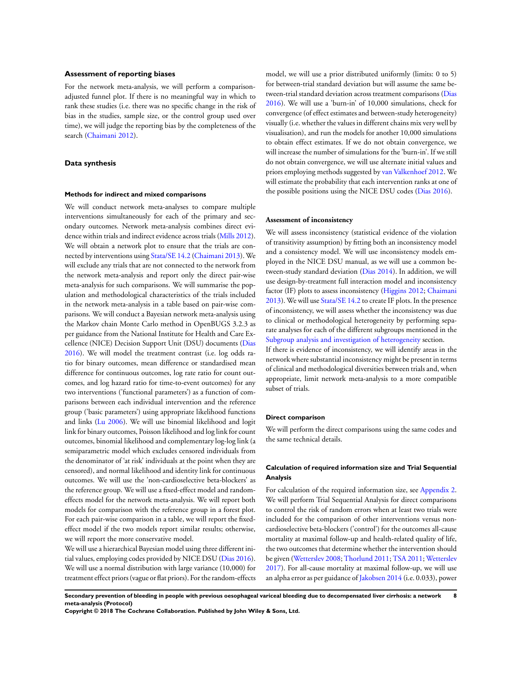# **Assessment of reporting biases**

For the network meta-analysis, we will perform a comparisonadjusted funnel plot. If there is no meaningful way in which to rank these studies (i.e. there was no specific change in the risk of bias in the studies, sample size, or the control group used over time), we will judge the reporting bias by the completeness of the search ([Chaimani 2012](#page-11-0)).

### **Data synthesis**

#### **Methods for indirect and mixed comparisons**

We will conduct network meta-analyses to compare multiple interventions simultaneously for each of the primary and secondary outcomes. Network meta-analysis combines direct evidence within trials and indirect evidence across trials ([Mills 2012](#page-11-0)). We will obtain a network plot to ensure that the trials are connected by interventions using [Stata/SE 14.2](#page-11-0) ([Chaimani 2013](#page-11-0)). We will exclude any trials that are not connected to the network from the network meta-analysis and report only the direct pair-wise meta-analysis for such comparisons. We will summarise the population and methodological characteristics of the trials included in the network meta-analysis in a table based on pair-wise comparisons. We will conduct a Bayesian network meta-analysis using the Markov chain Monte Carlo method in OpenBUGS 3.2.3 as per guidance from the National Institute for Health and Care Excellence (NICE) Decision Support Unit (DSU) documents [\(Dias](#page-11-0) [2016](#page-11-0)). We will model the treatment contrast (i.e. log odds ratio for binary outcomes, mean difference or standardised mean difference for continuous outcomes, log rate ratio for count outcomes, and log hazard ratio for time-to-event outcomes) for any two interventions ('functional parameters') as a function of comparisons between each individual intervention and the reference group ('basic parameters') using appropriate likelihood functions and links [\(Lu 2006](#page-11-0)). We will use binomial likelihood and logit link for binary outcomes, Poisson likelihood and log link for count outcomes, binomial likelihood and complementary log-log link (a semiparametric model which excludes censored individuals from the denominator of 'at risk' individuals at the point when they are censored), and normal likelihood and identity link for continuous outcomes. We will use the 'non-cardioselective beta-blockers' as the reference group. We will use a fixed-effect model and randomeffects model for the network meta-analysis. We will report both models for comparison with the reference group in a forest plot. For each pair-wise comparison in a table, we will report the fixedeffect model if the two models report similar results; otherwise, we will report the more conservative model.

We will use a hierarchical Bayesian model using three different initial values, employing codes provided by NICE DSU ([Dias 2016](#page-11-0)). We will use a normal distribution with large variance (10,000) for treatment effect priors (vague or flat priors). For the random-effects

model, we will use a prior distributed uniformly (limits: 0 to 5) for between-trial standard deviation but will assume the same between-trial standard deviation across treatment comparisons [\(Dias](#page-11-0) [2016](#page-11-0)). We will use a 'burn-in' of 10,000 simulations, check for convergence (of effect estimates and between-study heterogeneity) visually (i.e. whether the values in different chains mix very well by visualisation), and run the models for another 10,000 simulations to obtain effect estimates. If we do not obtain convergence, we will increase the number of simulations for the 'burn-in'. If we still do not obtain convergence, we will use alternate initial values and priors employing methods suggested by [van Valkenhoef 2012.](#page-11-0) We will estimate the probability that each intervention ranks at one of the possible positions using the NICE DSU codes ([Dias 2016](#page-11-0)).

### **Assessment of inconsistency**

We will assess inconsistency (statistical evidence of the violation of transitivity assumption) by fitting both an inconsistency model and a consistency model. We will use inconsistency models employed in the NICE DSU manual, as we will use a common between-study standard deviation ([Dias 2014\)](#page-11-0). In addition, we will use design-by-treatment full interaction model and inconsistency factor (IF) plots to assess inconsistency ([Higgins 2012](#page-11-0); [Chaimani](#page-11-0) [2013](#page-11-0)). We will use [Stata/SE 14.2](#page-11-0) to create IF plots. In the presence of inconsistency, we will assess whether the inconsistency was due to clinical or methodological heterogeneity by performing separate analyses for each of the different subgroups mentioned in the [Subgroup analysis and investigation of heterogeneity](#page-2-0) section. If there is evidence of inconsistency, we will identify areas in the network where substantial inconsistency might be present in terms of clinical and methodological diversities between trials and, when

appropriate, limit network meta-analysis to a more compatible subset of trials.

#### **Direct comparison**

We will perform the direct comparisons using the same codes and the same technical details.

# **Calculation of required information size and Trial Sequential Analysis**

For calculation of the required information size, see [Appendix 2.](#page-16-0) We will perform Trial Sequential Analysis for direct comparisons to control the risk of random errors when at least two trials were included for the comparison of other interventions versus noncardioselective beta-blockers ('control') for the outcomes all-cause mortality at maximal follow-up and health-related quality of life, the two outcomes that determine whether the intervention should be given ([Wetterslev 2008;](#page-11-0) [Thorlund 2011](#page-11-0); [TSA 2011](#page-11-0); [Wetterslev](#page-11-0) [2017](#page-11-0)). For all-cause mortality at maximal follow-up, we will use an alpha error as per guidance of [Jakobsen 2014](#page-11-0) (i.e. 0.033), power

**Secondary prevention of bleeding in people with previous oesophageal variceal bleeding due to decompensated liver cirrhosis: a network 8 meta-analysis (Protocol)**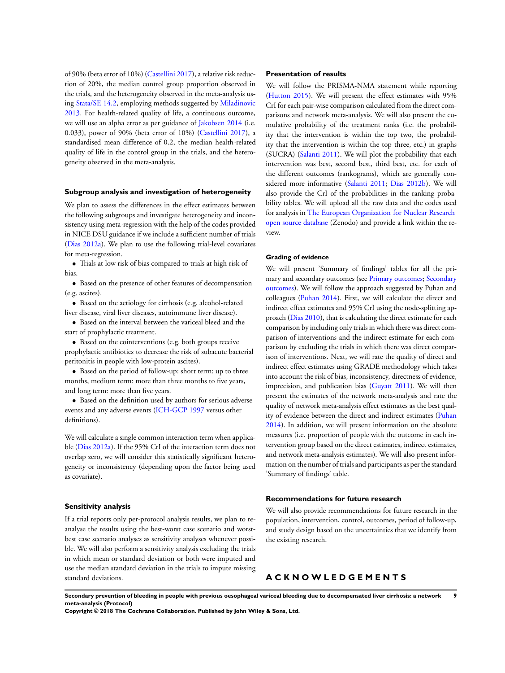of 90% (beta error of 10%) ([Castellini 2017](#page-11-0)), a relative risk reduction of 20%, the median control group proportion observed in the trials, and the heterogeneity observed in the meta-analysis using [Stata/SE 14.2](#page-11-0), employing methods suggested by [Miladinovic](#page-11-0) [2013](#page-11-0). For health-related quality of life, a continuous outcome, we will use an alpha error as per guidance of [Jakobsen 2014](#page-11-0) (i.e. 0.033), power of 90% (beta error of 10%) [\(Castellini 2017](#page-11-0)), a standardised mean difference of 0.2, the median health-related quality of life in the control group in the trials, and the heterogeneity observed in the meta-analysis.

#### **Subgroup analysis and investigation of heterogeneity**

We plan to assess the differences in the effect estimates between the following subgroups and investigate heterogeneity and inconsistency using meta-regression with the help of the codes provided in NICE DSU guidance if we include a sufficient number of trials [\(Dias 2012a](#page-11-0)). We plan to use the following trial-level covariates for meta-regression.

• Trials at low risk of bias compared to trials at high risk of bias.

• Based on the presence of other features of decompensation (e.g. ascites).

• Based on the aetiology for cirrhosis (e.g. alcohol-related liver disease, viral liver diseases, autoimmune liver disease).

• Based on the interval between the variceal bleed and the start of prophylactic treatment.

• Based on the cointerventions (e.g. both groups receive prophylactic antibiotics to decrease the risk of subacute bacterial peritonitis in people with low-protein ascites).

• Based on the period of follow-up: short term: up to three months, medium term: more than three months to five years, and long term: more than five years.

• Based on the definition used by authors for serious adverse events and any adverse events [\(ICH-GCP 1997](#page-11-0) versus other definitions).

We will calculate a single common interaction term when applicable [\(Dias 2012a\)](#page-11-0). If the 95% CrI of the interaction term does not overlap zero, we will consider this statistically significant heterogeneity or inconsistency (depending upon the factor being used as covariate).

#### **Sensitivity analysis**

If a trial reports only per-protocol analysis results, we plan to reanalyse the results using the best-worst case scenario and worstbest case scenario analyses as sensitivity analyses whenever possible. We will also perform a sensitivity analysis excluding the trials in which mean or standard deviation or both were imputed and use the median standard deviation in the trials to impute missing standard deviations.

#### **Presentation of results**

We will follow the PRISMA-NMA statement while reporting [\(Hutton 2015\)](#page-11-0). We will present the effect estimates with 95% CrI for each pair-wise comparison calculated from the direct comparisons and network meta-analysis. We will also present the cumulative probability of the treatment ranks (i.e. the probability that the intervention is within the top two, the probability that the intervention is within the top three, etc.) in graphs (SUCRA) [\(Salanti 2011\)](#page-11-0). We will plot the probability that each intervention was best, second best, third best, etc. for each of the different outcomes (rankograms), which are generally considered more informative [\(Salanti 2011](#page-11-0); [Dias 2012b\)](#page-11-0). We will also provide the CrI of the probabilities in the ranking probability tables. We will upload all the raw data and the codes used for analysis in [The European Organization for Nuclear Research](http://zenodo.org) [open source database](http://zenodo.org) (Zenodo) and provide a link within the review.

#### **Grading of evidence**

We will present 'Summary of findings' tables for all the primary and secondary outcomes (see [Primary outcomes](#page-2-0); [Secondary](#page-2-0) [outcomes](#page-2-0)). We will follow the approach suggested by Puhan and colleagues [\(Puhan 2014](#page-11-0)). First, we will calculate the direct and indirect effect estimates and 95% CrI using the node-splitting approach ([Dias 2010](#page-11-0)), that is calculating the direct estimate for each comparison by including only trials in which there was direct comparison of interventions and the indirect estimate for each comparison by excluding the trials in which there was direct comparison of interventions. Next, we will rate the quality of direct and indirect effect estimates using GRADE methodology which takes into account the risk of bias, inconsistency, directness of evidence, imprecision, and publication bias ([Guyatt 2011](#page-11-0)). We will then present the estimates of the network meta-analysis and rate the quality of network meta-analysis effect estimates as the best quality of evidence between the direct and indirect estimates ([Puhan](#page-11-0) [2014](#page-11-0)). In addition, we will present information on the absolute measures (i.e. proportion of people with the outcome in each intervention group based on the direct estimates, indirect estimates, and network meta-analysis estimates). We will also present information on the number of trials and participants as per the standard 'Summary of findings' table.

#### **Recommendations for future research**

We will also provide recommendations for future research in the population, intervention, control, outcomes, period of follow-up, and study design based on the uncertainties that we identify from the existing research.

# **A C K N O W L E D G E M E N T S**

**Secondary prevention of bleeding in people with previous oesophageal variceal bleeding due to decompensated liver cirrhosis: a network 9 meta-analysis (Protocol)**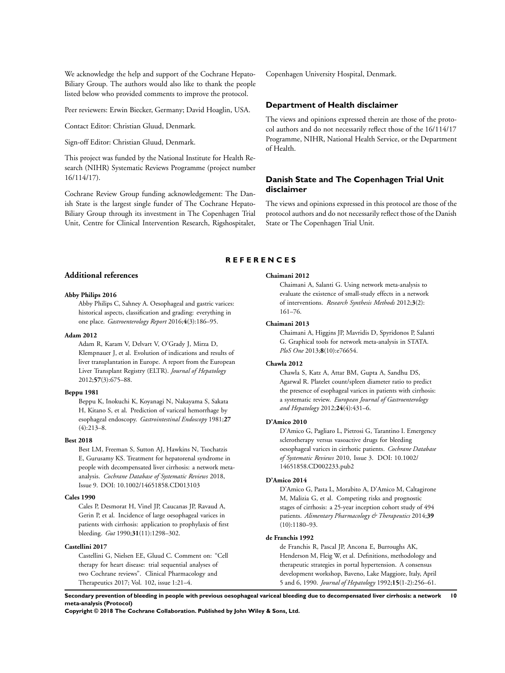<span id="page-11-0"></span>We acknowledge the help and support of the Cochrane Hepato-Biliary Group. The authors would also like to thank the people listed below who provided comments to improve the protocol.

Peer reviewers: Erwin Biecker, Germany; David Hoaglin, USA.

Contact Editor: Christian Gluud, Denmark.

Sign-off Editor: Christian Gluud, Denmark.

This project was funded by the National Institute for Health Research (NIHR) Systematic Reviews Programme (project number 16/114/17).

Cochrane Review Group funding acknowledgement: The Danish State is the largest single funder of The Cochrane Hepato-Biliary Group through its investment in The Copenhagen Trial Unit, Centre for Clinical Intervention Research, Rigshospitalet, Copenhagen University Hospital, Denmark.

# **Department of Health disclaimer**

The views and opinions expressed therein are those of the protocol authors and do not necessarily reflect those of the 16/114/17 Programme, NIHR, National Health Service, or the Department of Health.

# **Danish State and The Copenhagen Trial Unit disclaimer**

The views and opinions expressed in this protocol are those of the protocol authors and do not necessarily reflect those of the Danish State or The Copenhagen Trial Unit.

# **R E F E R E N C E S**

# **Additional references**

#### **Abby Philips 2016**

Abby Philips C, Sahney A. Oesophageal and gastric varices: historical aspects, classification and grading: everything in one place. *Gastroenterology Report* 2016;**4**(3):186–95.

#### **Adam 2012**

Adam R, Karam V, Delvart V, O'Grady J, Mirza D, Klempnauer J, et al. Evolution of indications and results of liver transplantation in Europe. A report from the European Liver Transplant Registry (ELTR). *Journal of Hepatology* 2012;**57**(3):675–88.

#### **Beppu 1981**

Beppu K, Inokuchi K, Koyanagi N, Nakayama S, Sakata H, Kitano S, et al. Prediction of variceal hemorrhage by esophageal endoscopy. *Gastrointestinal Endoscopy* 1981;**27**  $(4):213-8.$ 

#### **Best 2018**

Best LM, Freeman S, Sutton AJ, Hawkins N, Tsochatzis E, Gurusamy KS. Treatment for hepatorenal syndrome in people with decompensated liver cirrhosis: a network metaanalysis. *Cochrane Database of Systematic Reviews* 2018, Issue 9. DOI: 10.1002/14651858.CD013103

#### **Cales 1990**

Cales P, Desmorat H, Vinel JP, Caucanas JP, Ravaud A, Gerin P, et al. Incidence of large oesophageal varices in patients with cirrhosis: application to prophylaxis of first bleeding. *Gut* 1990;**31**(11):1298–302.

# **Castellini 2017**

Castellini G, Nielsen EE, Gluud C. Comment on: "Cell therapy for heart disease: trial sequential analyses of two Cochrane reviews". Clinical Pharmacology and Therapeutics 2017; Vol. 102, issue 1:21–4.

#### **Chaimani 2012**

Chaimani A, Salanti G. Using network meta-analysis to evaluate the existence of small-study effects in a network of interventions. *Research Synthesis Methods* 2012;**3**(2): 161–76.

#### **Chaimani 2013**

Chaimani A, Higgins JP, Mavridis D, Spyridonos P, Salanti G. Graphical tools for network meta-analysis in STATA. *PloS One* 2013;**8**(10):e76654.

# **Chawla 2012**

Chawla S, Katz A, Attar BM, Gupta A, Sandhu DS, Agarwal R. Platelet count/spleen diameter ratio to predict the presence of esophageal varices in patients with cirrhosis: a systematic review. *European Journal of Gastroenterology and Hepatology* 2012;**24**(4):431–6.

#### **D'Amico 2010**

D'Amico G, Pagliaro L, Pietrosi G, Tarantino I. Emergency sclerotherapy versus vasoactive drugs for bleeding oesophageal varices in cirrhotic patients. *Cochrane Database of Systematic Reviews* 2010, Issue 3. DOI: 10.1002/ 14651858.CD002233.pub2

### **D'Amico 2014**

D'Amico G, Pasta L, Morabito A, D'Amico M, Caltagirone M, Malizia G, et al. Competing risks and prognostic stages of cirrhosis: a 25-year inception cohort study of 494 patients. *Alimentary Pharmacology & Therapeutics* 2014;**39** (10):1180–93.

#### **de Franchis 1992**

de Franchis R, Pascal JP, Ancona E, Burroughs AK, Henderson M, Fleig W, et al. Definitions, methodology and therapeutic strategies in portal hypertension. A consensus development workshop, Baveno, Lake Maggiore, Italy, April 5 and 6, 1990. *Journal of Hepatology* 1992;**15**(1-2):256–61.

**Secondary prevention of bleeding in people with previous oesophageal variceal bleeding due to decompensated liver cirrhosis: a network 10 meta-analysis (Protocol)**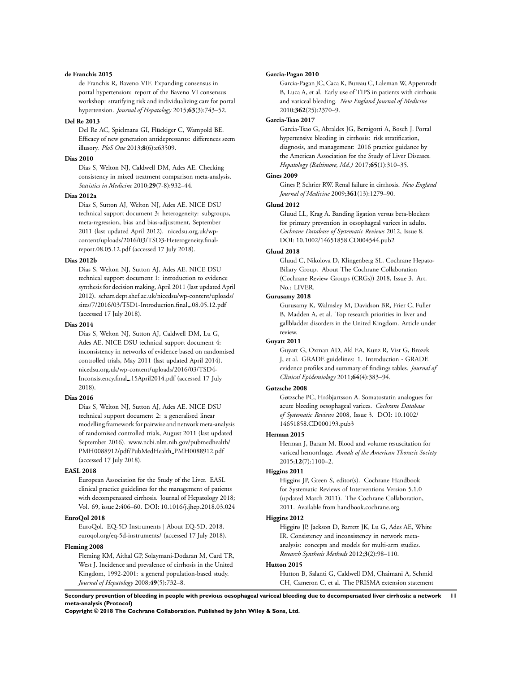#### **de Franchis 2015**

de Franchis R, Baveno VIF. Expanding consensus in portal hypertension: report of the Baveno VI consensus workshop: stratifying risk and individualizing care for portal hypertension. *Journal of Hepatology* 2015;**63**(3):743–52.

#### **Del Re 2013**

Del Re AC, Spielmans GI, Flückiger C, Wampold BE. Efficacy of new generation antidepressants: differences seem illusory. *PloS One* 2013;**8**(6):e63509.

#### **Dias 2010**

Dias S, Welton NJ, Caldwell DM, Ades AE. Checking consistency in mixed treatment comparison meta-analysis. *Statistics in Medicine* 2010;**29**(7-8):932–44.

#### **Dias 2012a**

Dias S, Sutton AJ, Welton NJ, Ades AE. NICE DSU technical support document 3: heterogeneity: subgroups, meta-regression, bias and bias-adjustment, September 2011 (last updated April 2012). nicedsu.org.uk/wpcontent/uploads/2016/03/TSD3-Heterogeneity.finalreport.08.05.12.pdf (accessed 17 July 2018).

# **Dias 2012b**

Dias S, Welton NJ, Sutton AJ, Ades AE. NICE DSU technical support document 1: introduction to evidence synthesis for decision making, April 2011 (last updated April 2012). scharr.dept.shef.ac.uk/nicedsu/wp-content/uploads/ sites/7/2016/03/TSD1-Introduction.final\_08.05.12.pdf (accessed 17 July 2018).

#### **Dias 2014**

Dias S, Welton NJ, Sutton AJ, Caldwell DM, Lu G, Ades AE. NICE DSU technical support document 4: inconsistency in networks of evidence based on randomised controlled trials, May 2011 (last updated April 2014). nicedsu.org.uk/wp-content/uploads/2016/03/TSD4- Inconsistency.final .15April2014.pdf (accessed 17 July 2018).

#### **Dias 2016**

Dias S, Welton NJ, Sutton AJ, Ades AE. NICE DSU technical support document 2: a generalised linear modelling framework for pairwise and network meta-analysis of randomised controlled trials, August 2011 (last updated September 2016). www.ncbi.nlm.nih.gov/pubmedhealth/ PMH0088912/pdf/PubMedHealth PMH0088912.pdf (accessed 17 July 2018).

#### **EASL 2018**

European Association for the Study of the Liver. EASL clinical practice guidelines for the management of patients with decompensated cirrhosis. Journal of Hepatology 2018; Vol. 69, issue 2:406–60. DOI: 10.1016/j.jhep.2018.03.024

# **EuroQol 2018**

EuroQol. EQ-5D Instruments | About EQ-5D, 2018. euroqol.org/eq-5d-instruments/ (accessed 17 July 2018).

#### **Fleming 2008**

Fleming KM, Aithal GP, Solaymani-Dodaran M, Card TR, West J. Incidence and prevalence of cirrhosis in the United Kingdom, 1992-2001: a general population-based study. *Journal of Hepatology* 2008;**49**(5):732–8.

#### **Garcia-Pagan 2010**

Garcia-Pagan JC, Caca K, Bureau C, Laleman W, Appenrodt B, Luca A, et al. Early use of TIPS in patients with cirrhosis and variceal bleeding. *New England Journal of Medicine* 2010;**362**(25):2370–9.

#### **Garcia-Tsao 2017**

Garcia-Tsao G, Abraldes JG, Berzigotti A, Bosch J. Portal hypertensive bleeding in cirrhosis: risk stratification, diagnosis, and management: 2016 practice guidance by the American Association for the Study of Liver Diseases. *Hepatology (Baltimore, Md.)* 2017;**65**(1):310–35.

#### **Gines 2009**

Gines P, Schrier RW. Renal failure in cirrhosis. *New England Journal of Medicine* 2009;**361**(13):1279–90.

# **Gluud 2012**

Gluud LL, Krag A. Banding ligation versus beta-blockers for primary prevention in oesophageal varices in adults. *Cochrane Database of Systematic Reviews* 2012, Issue 8. DOI: 10.1002/14651858.CD004544.pub2

#### **Gluud 2018**

Gluud C, Nikolova D, Klingenberg SL. Cochrane Hepato-Biliary Group. About The Cochrane Collaboration (Cochrane Review Groups (CRGs)) 2018, Issue 3. Art. No.: LIVER.

# **Gurusamy 2018**

Gurusamy K, Walmsley M, Davidson BR, Frier C, Fuller B, Madden A, et al. Top research priorities in liver and gallbladder disorders in the United Kingdom. Article under review.

### **Guyatt 2011**

Guyatt G, Oxman AD, Akl EA, Kunz R, Vist G, Brozek J, et al. GRADE guidelines: 1. Introduction - GRADE evidence profiles and summary of findings tables. *Journal of Clinical Epidemiology* 2011;**64**(4):383–94.

#### **Gøtzsche 2008**

Gøtzsche PC, Hróbjartsson A. Somatostatin analogues for acute bleeding oesophageal varices. *Cochrane Database of Systematic Reviews* 2008, Issue 3. DOI: 10.1002/ 14651858.CD000193.pub3

#### **Herman 2015**

Herman J, Baram M. Blood and volume resuscitation for variceal hemorrhage. *Annals of the American Thoracic Society* 2015;**12**(7):1100–2.

#### **Higgins 2011**

Higgins JP, Green S, editor(s). Cochrane Handbook for Systematic Reviews of Interventions Version 5.1.0 (updated March 2011). The Cochrane Collaboration, 2011. Available from handbook.cochrane.org.

# **Higgins 2012**

Higgins JP, Jackson D, Barrett JK, Lu G, Ades AE, White IR. Consistency and inconsistency in network metaanalysis: concepts and models for multi-arm studies. *Research Synthesis Methods* 2012;**3**(2):98–110.

### **Hutton 2015**

Hutton B, Salanti G, Caldwell DM, Chaimani A, Schmid CH, Cameron C, et al. The PRISMA extension statement

**Secondary prevention of bleeding in people with previous oesophageal variceal bleeding due to decompensated liver cirrhosis: a network 11 meta-analysis (Protocol)**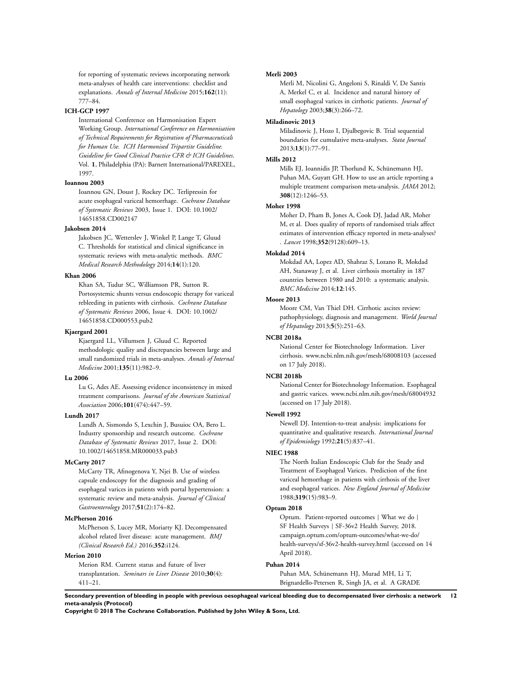for reporting of systematic reviews incorporating network meta-analyses of health care interventions: checklist and explanations. *Annals of Internal Medicine* 2015;**162**(11): 777–84.

#### **ICH-GCP 1997**

International Conference on Harmonisation Expert Working Group. *International Conference on Harmonisation of Technical Requirements for Registration of Pharmaceuticals for Human Use. ICH Harmonised Tripartite Guideline. Guideline for Good Clinical Practice CFR & ICH Guidelines*. Vol. **1**, Philadelphia (PA): Barnett International/PAREXEL, 1997.

#### **Ioannou 2003**

Ioannou GN, Doust J, Rockey DC. Terlipressin for acute esophageal variceal hemorrhage. *Cochrane Database of Systematic Reviews* 2003, Issue 1. DOI: 10.1002/ 14651858.CD002147

# **Jakobsen 2014**

Jakobsen JC, Wetterslev J, Winkel P, Lange T, Gluud C. Thresholds for statistical and clinical significance in systematic reviews with meta-analytic methods. *BMC Medical Research Methodology* 2014;**14**(1):120.

#### **Khan 2006**

Khan SA, Tudur SC, Williamson PR, Sutton R. Portosystemic shunts versus endoscopic therapy for variceal rebleeding in patients with cirrhosis. *Cochrane Database of Systematic Reviews* 2006, Issue 4. DOI: 10.1002/ 14651858.CD000553.pub2

#### **Kjaergard 2001**

Kjaergard LL, Villumsen J, Gluud C. Reported methodologic quality and discrepancies between large and small randomized trials in meta-analyses. *Annals of Internal Medicine* 2001;**135**(11):982–9.

# **Lu 2006**

Lu G, Ades AE. Assessing evidence inconsistency in mixed treatment comparisons. *Journal of the American Statistical Association* 2006;**101**(474):447–59.

# **Lundh 2017**

Lundh A, Sismondo S, Lexchin J, Busuioc OA, Bero L. Industry sponsorship and research outcome. *Cochrane Database of Systematic Reviews* 2017, Issue 2. DOI: 10.1002/14651858.MR000033.pub3

#### **McCarty 2017**

McCarty TR, Afinogenova Y, Njei B. Use of wireless capsule endoscopy for the diagnosis and grading of esophageal varices in patients with portal hypertension: a systematic review and meta-analysis. *Journal of Clinical Gastroenterology* 2017;**51**(2):174–82.

# **McPherson 2016**

McPherson S, Lucey MR, Moriarty KJ. Decompensated alcohol related liver disease: acute management. *BMJ (Clinical Research Ed.)* 2016;**352**:i124.

### **Merion 2010**

Merion RM. Current status and future of liver transplantation. *Seminars in Liver Disease* 2010;**30**(4):  $411 - 21$ 

#### **Merli 2003**

Merli M, Nicolini G, Angeloni S, Rinaldi V, De Santis A, Merkel C, et al. Incidence and natural history of small esophageal varices in cirrhotic patients. *Journal of Hepatology* 2003;**38**(3):266–72.

# **Miladinovic 2013**

Miladinovic J, Hozo I, Djulbegovic B. Trial sequential boundaries for cumulative meta-analyses. *Stata Journal* 2013;**13**(1):77–91.

# **Mills 2012**

Mills EJ, Ioannidis JP, Thorlund K, Schünemann HJ, Puhan MA, Guyatt GH. How to use an article reporting a multiple treatment comparison meta-analysis. *JAMA* 2012; **308**(12):1246–53.

# **Moher 1998**

Moher D, Pham B, Jones A, Cook DJ, Jadad AR, Moher M, et al. Does quality of reports of randomised trials affect estimates of intervention efficacy reported in meta-analyses? . *Lancet* 1998;**352**(9128):609–13.

#### **Mokdad 2014**

Mokdad AA, Lopez AD, Shahraz S, Lozano R, Mokdad AH, Stanaway J, et al. Liver cirrhosis mortality in 187 countries between 1980 and 2010: a systematic analysis. *BMC Medicine* 2014;**12**:145.

#### **Moore 2013**

Moore CM, Van Thiel DH. Cirrhotic ascites review: pathophysiology, diagnosis and management. *World Journal of Hepatology* 2013;**5**(5):251–63.

# **NCBI 2018a**

National Center for Biotechnology Information. Liver cirrhosis. www.ncbi.nlm.nih.gov/mesh/68008103 (accessed on 17 July 2018).

#### **NCBI 2018b**

National Center for Biotechnology Information. Esophageal and gastric varices. www.ncbi.nlm.nih.gov/mesh/68004932 (accessed on 17 July 2018).

#### **Newell 1992**

Newell DJ. Intention-to-treat analysis: implications for quantitative and qualitative research. *International Journal of Epidemiology* 1992;**21**(5):837–41.

#### **NIEC 1988**

The North Italian Endoscopic Club for the Study and Treatment of Esophageal Varices. Prediction of the first variceal hemorrhage in patients with cirrhosis of the liver and esophageal varices. *New England Journal of Medicine* 1988;**319**(15):983–9.

# **Optum 2018**

Optum. Patient-reported outcomes | What we do | SF Health Surveys | SF-36v2 Health Survey, 2018. campaign.optum.com/optum-outcomes/what-we-do/ health-surveys/sf-36v2-health-survey.html (accessed on 14 April 2018).

# **Puhan 2014**

Puhan MA, Schünemann HJ, Murad MH, Li T, Brignardello-Petersen R, Singh JA, et al. A GRADE

**Secondary prevention of bleeding in people with previous oesophageal variceal bleeding due to decompensated liver cirrhosis: a network 12 meta-analysis (Protocol)**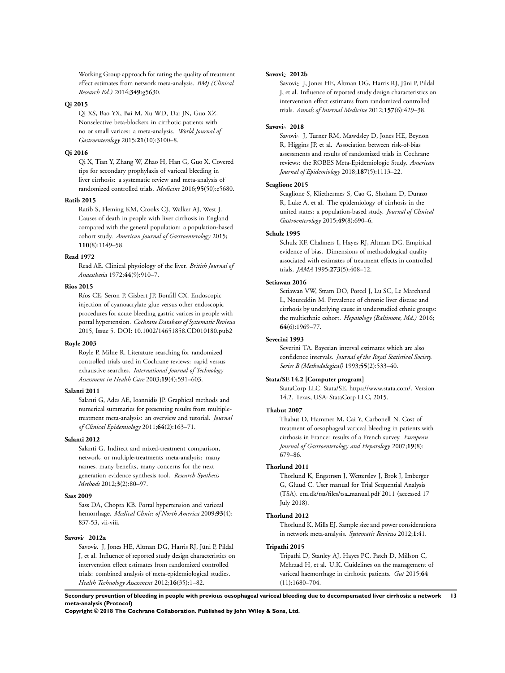Working Group approach for rating the quality of treatment effect estimates from network meta-analysis. *BMJ (Clinical Research Ed.)* 2014;**349**:g5630.

#### **Qi 2015**

Qi XS, Bao YX, Bai M, Xu WD, Dai JN, Guo XZ. Nonselective beta-blockers in cirrhotic patients with no or small varices: a meta-analysis. *World Journal of Gastroenterology* 2015;**21**(10):3100–8.

# **Qi 2016**

Qi X, Tian Y, Zhang W, Zhao H, Han G, Guo X. Covered tips for secondary prophylaxis of variceal bleeding in liver cirrhosis: a systematic review and meta-analysis of randomized controlled trials. *Medicine* 2016;**95**(50):e5680.

### **Ratib 2015**

Ratib S, Fleming KM, Crooks CJ, Walker AJ, West J. Causes of death in people with liver cirrhosis in England compared with the general population: a population-based cohort study. *American Journal of Gastroenterology* 2015; **110**(8):1149–58.

#### **Read 1972**

Read AE. Clinical physiology of the liver. *British Journal of Anaesthesia* 1972;**44**(9):910–7.

#### **Rios 2015**

Ríos CE, Seron P, Gisbert JP, Bonfill CX. Endoscopic injection of cyanoacrylate glue versus other endoscopic procedures for acute bleeding gastric varices in people with portal hypertension. *Cochrane Database of Systematic Reviews* 2015, Issue 5. DOI: 10.1002/14651858.CD010180.pub2

#### **Royle 2003**

Royle P, Milne R. Literature searching for randomized controlled trials used in Cochrane reviews: rapid versus exhaustive searches. *International Journal of Technology Assessment in Health Care* 2003;**19**(4):591–603.

#### **Salanti 2011**

Salanti G, Ades AE, Ioannidis JP. Graphical methods and numerical summaries for presenting results from multipletreatment meta-analysis: an overview and tutorial. *Journal of Clinical Epidemiology* 2011;**64**(2):163–71.

#### **Salanti 2012**

Salanti G. Indirect and mixed-treatment comparison, network, or multiple-treatments meta-analysis: many names, many benefits, many concerns for the next generation evidence synthesis tool. *Research Synthesis Methods* 2012;**3**(2):80–97.

# **Sass 2009**

Sass DA, Chopra KB. Portal hypertension and variceal hemorrhage. *Medical Clinics of North America* 2009;**93**(4): 837-53, vii-viii.

# **Savovi 2012a**

Savovic J, Jones HE, Altman DG, Harris RJ, Jüni P, Pildal J, et al. Influence of reported study design characteristics on intervention effect estimates from randomized controlled trials: combined analysis of meta-epidemiological studies. *Health Technology Assessment* 2012;**16**(35):1–82.

#### **Savovi 2012b**

Savovic J, Jones HE, Altman DG, Harris RJ, Jüni P, Pildal J, et al. Influence of reported study design characteristics on intervention effect estimates from randomized controlled trials. *Annals of Internal Medicine* 2012;**157**(6):429–38.

#### Savović 2018

Savović J, Turner RM, Mawdsley D, Jones HE, Beynon R, Higgins JP, et al. Association between risk-of-bias assessments and results of randomized trials in Cochrane reviews: the ROBES Meta-Epidemiologic Study. *American Journal of Epidemiology* 2018;**187**(5):1113–22.

# **Scaglione 2015**

Scaglione S, Kliethermes S, Cao G, Shoham D, Durazo R, Luke A, et al. The epidemiology of cirrhosis in the united states: a population-based study. *Journal of Clinical Gastroenterology* 2015;**49**(8):690–6.

#### **Schulz 1995**

Schulz KF, Chalmers I, Hayes RJ, Altman DG. Empirical evidence of bias. Dimensions of methodological quality associated with estimates of treatment effects in controlled trials. *JAMA* 1995;**273**(5):408–12.

#### **Setiawan 2016**

Setiawan VW, Stram DO, Porcel J, Lu SC, Le Marchand L, Noureddin M. Prevalence of chronic liver disease and cirrhosis by underlying cause in understudied ethnic groups: the multiethnic cohort. *Hepatology (Baltimore, Md.)* 2016; **64**(6):1969–77.

# **Severini 1993**

Severini TA. Bayesian interval estimates which are also confidence intervals. *Journal of the Royal Statistical Society. Series B (Methodological)* 1993;**55**(2):533–40.

# **Stata/SE 14.2 [Computer program]**

StataCorp LLC. Stata/SE. https://www.stata.com/. Version 14.2. Texas, USA: StataCorp LLC, 2015.

#### **Thabut 2007**

Thabut D, Hammer M, Cai Y, Carbonell N. Cost of treatment of oesophageal variceal bleeding in patients with cirrhosis in France: results of a French survey. *European Journal of Gastroenterology and Hepatology* 2007;**19**(8): 679–86.

#### **Thorlund 2011**

Thorlund K, Engstrøm J, Wetterslev J, Brok J, Imberger G, Gluud C. User manual for Trial Sequential Analysis (TSA). ctu.dk/tsa/files/tsa manual.pdf 2011 (accessed 17 July 2018).

#### **Thorlund 2012**

Thorlund K, Mills EJ. Sample size and power considerations in network meta-analysis. *Systematic Reviews* 2012;**1**:41.

#### **Tripathi 2015**

Tripathi D, Stanley AJ, Hayes PC, Patch D, Millson C, Mehrzad H, et al. U.K. Guidelines on the management of variceal haemorrhage in cirrhotic patients. *Gut* 2015;**64** (11):1680–704.

**Secondary prevention of bleeding in people with previous oesophageal variceal bleeding due to decompensated liver cirrhosis: a network 13 meta-analysis (Protocol)**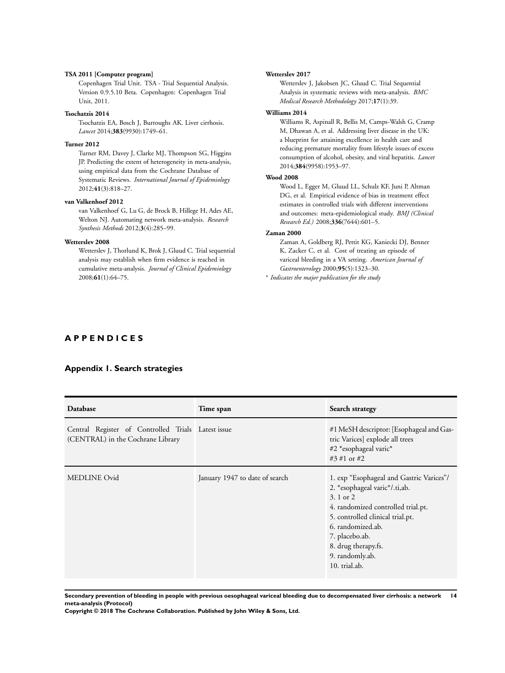# <span id="page-15-0"></span>**TSA 2011 [Computer program]**

Copenhagen Trial Unit. TSA - Trial Sequential Analysis. Version 0.9.5.10 Beta. Copenhagen: Copenhagen Trial Unit, 2011.

#### **Tsochatzis 2014**

Tsochatzis EA, Bosch J, Burroughs AK. Liver cirrhosis. *Lancet* 2014;**383**(9930):1749–61.

# **Turner 2012**

Turner RM, Davey J, Clarke MJ, Thompson SG, Higgins JP. Predicting the extent of heterogeneity in meta-analysis, using empirical data from the Cochrane Database of Systematic Reviews. *International Journal of Epidemiology* 2012;**41**(3):818–27.

#### **van Valkenhoef 2012**

van Valkenhoef G, Lu G, de Brock B, Hillege H, Ades AE, Welton NJ. Automating network meta-analysis. *Research Synthesis Methods* 2012;**3**(4):285–99.

### **Wetterslev 2008**

Wetterslev J, Thorlund K, Brok J, Gluud C. Trial sequential analysis may establish when firm evidence is reached in cumulative meta-analysis. *Journal of Clinical Epidemiology* 2008;**61**(1):64–75.

#### **Wetterslev 2017**

Wetterslev J, Jakobsen JC, Gluud C. Trial Sequential Analysis in systematic reviews with meta-analysis. *BMC Medical Research Methodology* 2017;**17**(1):39.

# **Williams 2014**

Williams R, Aspinall R, Bellis M, Camps-Walsh G, Cramp M, Dhawan A, et al. Addressing liver disease in the UK: a blueprint for attaining excellence in health care and reducing premature mortality from lifestyle issues of excess consumption of alcohol, obesity, and viral hepatitis. *Lancet* 2014;**384**(9958):1953–97.

#### **Wood 2008**

Wood L, Egger M, Gluud LL, Schulz KF, Juni P, Altman DG, et al. Empirical evidence of bias in treatment effect estimates in controlled trials with different interventions and outcomes: meta-epidemiological study. *BMJ (Clinical Research Ed.)* 2008;**336**(7644):601–5.

#### **Zaman 2000**

Zaman A, Goldberg RJ, Pettit KG, Kaniecki DJ, Benner K, Zacker C, et al. Cost of treating an episode of variceal bleeding in a VA setting. *American Journal of Gastroenterology* 2000;**95**(5):1323–30.

∗ *Indicates the major publication for the study*

# **A P P E N D I C E S**

# **Appendix 1. Search strategies**

| Database                                                                                | Time span                      | Search strategy                                                                                                                                                                                                                                                    |
|-----------------------------------------------------------------------------------------|--------------------------------|--------------------------------------------------------------------------------------------------------------------------------------------------------------------------------------------------------------------------------------------------------------------|
| Central Register of Controlled Trials Latest issue<br>(CENTRAL) in the Cochrane Library |                                | #1 MeSH descriptor: [Esophageal and Gas-<br>tric Varices] explode all trees<br>#2 *esophageal varic*<br>#3 #1 or #2                                                                                                                                                |
| <b>MEDLINE</b> Ovid                                                                     | January 1947 to date of search | 1. exp "Esophageal and Gastric Varices"/<br>2. *esophageal varic*/.ti,ab.<br>3. 1 or 2<br>4. randomized controlled trial.pt.<br>5. controlled clinical trial.pt.<br>6. randomized.ab.<br>7. placebo.ab.<br>8. drug therapy.fs.<br>9. randomly.ab.<br>10. trial.ab. |

**Secondary prevention of bleeding in people with previous oesophageal variceal bleeding due to decompensated liver cirrhosis: a network 14 meta-analysis (Protocol)**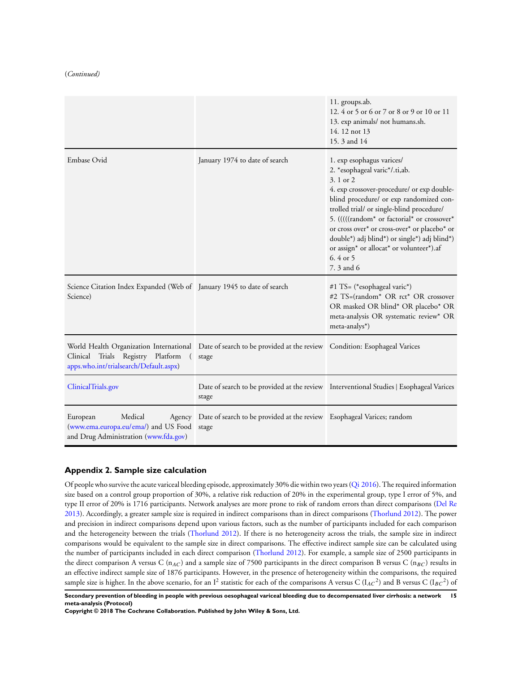# <span id="page-16-0"></span>(*Continued)*

|                                                                                                      |                                                                                                                            | 11. groups.ab.<br>12. 4 or 5 or 6 or 7 or 8 or 9 or 10 or 11<br>13. exp animals/ not humans.sh.<br>14.12 not 13<br>15.3 and 14                                                                                                                                                                                                                                                                                                                                        |
|------------------------------------------------------------------------------------------------------|----------------------------------------------------------------------------------------------------------------------------|-----------------------------------------------------------------------------------------------------------------------------------------------------------------------------------------------------------------------------------------------------------------------------------------------------------------------------------------------------------------------------------------------------------------------------------------------------------------------|
| Embase Ovid                                                                                          | January 1974 to date of search                                                                                             | 1. exp esophagus varices/<br>2. *esophageal varic*/.ti,ab.<br>3.1 or 2<br>4. exp crossover-procedure/ or exp double-<br>blind procedure/ or exp randomized con-<br>trolled trial/ or single-blind procedure/<br>5. (((((random <sup>*</sup> or factorial <sup>*</sup> or crossover <sup>*</sup><br>or cross over* or cross-over* or placebo* or<br>double*) adj blind*) or single*) adj blind*)<br>or assign* or allocat* or volunteer*).af<br>6.4 or 5<br>7. 3 and 6 |
| Science Citation Index Expanded (Web of January 1945 to date of search<br>Science)                   |                                                                                                                            | #1 TS= (*esophageal varic*)<br>#2 TS=(random* OR rct* OR crossover<br>OR masked OR blind* OR placebo* OR<br>meta-analysis OR systematic review* OR<br>meta-analys*)                                                                                                                                                                                                                                                                                                   |
| Trials Registry Platform<br>Clinical<br>$\left($<br>apps.who.int/trialsearch/Default.aspx)           | World Health Organization International Date of search to be provided at the review Condition: Esophageal Varices<br>stage |                                                                                                                                                                                                                                                                                                                                                                                                                                                                       |
| ClinicalTrials.gov                                                                                   | stage                                                                                                                      | Date of search to be provided at the review Interventional Studies   Esophageal Varices                                                                                                                                                                                                                                                                                                                                                                               |
| Medical<br>European<br>(www.ema.europa.eu/ema/) and US Food<br>and Drug Administration (www.fda.gov) | Agency Date of search to be provided at the review Esophageal Varices; random<br>stage                                     |                                                                                                                                                                                                                                                                                                                                                                                                                                                                       |

# **Appendix 2. Sample size calculation**

Of people who survive the acute variceal bleeding episode, approximately 30% die within two years [\(Qi 2016\)](#page-11-0). The required information size based on a control group proportion of 30%, a relative risk reduction of 20% in the experimental group, type I error of 5%, and type II error of 20% is 1716 participants. Network analyses are more prone to risk of random errors than direct comparisons ([Del Re](#page-11-0) [2013](#page-11-0)). Accordingly, a greater sample size is required in indirect comparisons than in direct comparisons ([Thorlund 2012](#page-11-0)). The power and precision in indirect comparisons depend upon various factors, such as the number of participants included for each comparison and the heterogeneity between the trials ([Thorlund 2012](#page-11-0)). If there is no heterogeneity across the trials, the sample size in indirect comparisons would be equivalent to the sample size in direct comparisons. The effective indirect sample size can be calculated using the number of participants included in each direct comparison ([Thorlund 2012](#page-11-0)). For example, a sample size of 2500 participants in the direct comparison A versus C ( $n_{AC}$ ) and a sample size of 7500 participants in the direct comparison B versus C ( $n_{BC}$ ) results in an effective indirect sample size of 1876 participants. However, in the presence of heterogeneity within the comparisons, the required sample size is higher. In the above scenario, for an I<sup>2</sup> statistic for each of the comparisons A versus C (I<sub>AC</sub><sup>2</sup>) and B versus C (I<sub>BC</sub><sup>2</sup>) of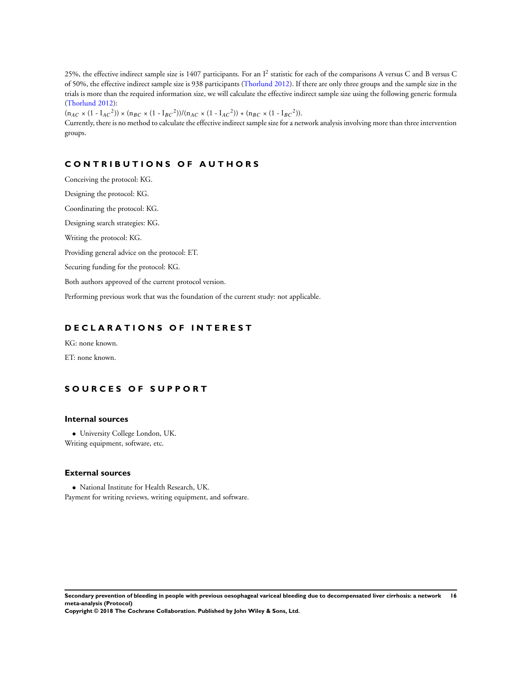25%, the effective indirect sample size is 1407 participants. For an  $I^2$  statistic for each of the comparisons A versus C and B versus C of 50%, the effective indirect sample size is 938 participants [\(Thorlund 2012](#page-11-0)). If there are only three groups and the sample size in the trials is more than the required information size, we will calculate the effective indirect sample size using the following generic formula [\(Thorlund 2012](#page-11-0)):

 $(n_{AC} \times (1 - I_{AC}^2)) \times (n_{BC} \times (1 - I_{BC}^2)) / (n_{AC} \times (1 - I_{AC}^2)) + (n_{BC} \times (1 - I_{BC}^2)).$ 

Currently, there is no method to calculate the effective indirect sample size for a network analysis involving more than three intervention groups.

# **C O N T R I B U T I O N S O F A U T H O R S**

Conceiving the protocol: KG. Designing the protocol: KG. Coordinating the protocol: KG. Designing search strategies: KG. Writing the protocol: KG. Providing general advice on the protocol: ET. Securing funding for the protocol: KG. Both authors approved of the current protocol version. Performing previous work that was the foundation of the current study: not applicable.

# **D E C L A R A T I O N S O F I N T E R E S T**

KG: none known.

ET: none known.

# **S O U R C E S O F S U P P O R T**

# **Internal sources**

• University College London, UK. Writing equipment, software, etc.

# **External sources**

• National Institute for Health Research, UK. Payment for writing reviews, writing equipment, and software.